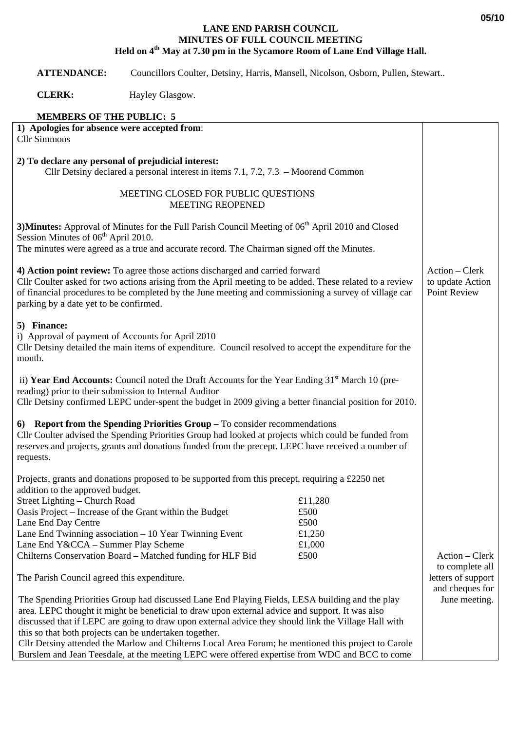## **LANE END PARISH COUNCIL MINUTES OF FULL COUNCIL MEETING Held on 4th May at 7.30 pm in the Sycamore Room of Lane End Village Hall.**

 **ATTENDANCE:** Councillors Coulter, Detsiny, Harris, Mansell, Nicolson, Osborn, Pullen, Stewart..

**CLERK:** Hayley Glasgow.

## **MEMBERS OF THE PUBLIC: 5**

| 1) Apologies for absence were accepted from:<br><b>Cllr Simmons</b>                                                                                                                                                                                                                                                                                                                                                                                                                                                                                                            |                                                     |                                                    |
|--------------------------------------------------------------------------------------------------------------------------------------------------------------------------------------------------------------------------------------------------------------------------------------------------------------------------------------------------------------------------------------------------------------------------------------------------------------------------------------------------------------------------------------------------------------------------------|-----------------------------------------------------|----------------------------------------------------|
| 2) To declare any personal of prejudicial interest:<br>Cllr Detsiny declared a personal interest in items 7.1, 7.2, 7.3 – Moorend Common                                                                                                                                                                                                                                                                                                                                                                                                                                       |                                                     |                                                    |
| MEETING CLOSED FOR PUBLIC QUESTIONS<br><b>MEETING REOPENED</b>                                                                                                                                                                                                                                                                                                                                                                                                                                                                                                                 |                                                     |                                                    |
| 3) Minutes: Approval of Minutes for the Full Parish Council Meeting of 06 <sup>th</sup> April 2010 and Closed<br>Session Minutes of 06 <sup>th</sup> April 2010.<br>The minutes were agreed as a true and accurate record. The Chairman signed off the Minutes.                                                                                                                                                                                                                                                                                                                |                                                     |                                                    |
| 4) Action point review: To agree those actions discharged and carried forward<br>Cllr Coulter asked for two actions arising from the April meeting to be added. These related to a review<br>of financial procedures to be completed by the June meeting and commissioning a survey of village car<br>parking by a date yet to be confirmed.                                                                                                                                                                                                                                   |                                                     | Action - Clerk<br>to update Action<br>Point Review |
| 5) Finance:<br>i) Approval of payment of Accounts for April 2010<br>Cllr Detsiny detailed the main items of expenditure. Council resolved to accept the expenditure for the<br>month.                                                                                                                                                                                                                                                                                                                                                                                          |                                                     |                                                    |
| ii) Year End Accounts: Council noted the Draft Accounts for the Year Ending 31 <sup>st</sup> March 10 (pre-<br>reading) prior to their submission to Internal Auditor<br>Cllr Detsiny confirmed LEPC under-spent the budget in 2009 giving a better financial position for 2010.                                                                                                                                                                                                                                                                                               |                                                     |                                                    |
| 6) Report from the Spending Priorities Group - To consider recommendations<br>Cllr Coulter advised the Spending Priorities Group had looked at projects which could be funded from<br>reserves and projects, grants and donations funded from the precept. LEPC have received a number of<br>requests.                                                                                                                                                                                                                                                                         |                                                     |                                                    |
| Projects, grants and donations proposed to be supported from this precept, requiring a £2250 net<br>addition to the approved budget.                                                                                                                                                                                                                                                                                                                                                                                                                                           |                                                     |                                                    |
| Street Lighting – Church Road<br>Oasis Project – Increase of the Grant within the Budget<br>Lane End Day Centre<br>Lane End Twinning association $-10$ Year Twinning Event<br>Lane End Y&CCA - Summer Play Scheme<br>Chilterns Conservation Board - Matched funding for HLF Bid                                                                                                                                                                                                                                                                                                | £11,280<br>£500<br>£500<br>£1,250<br>£1,000<br>£500 | Action – Clerk                                     |
| The Parish Council agreed this expenditure.                                                                                                                                                                                                                                                                                                                                                                                                                                                                                                                                    |                                                     | to complete all<br>letters of support              |
| The Spending Priorities Group had discussed Lane End Playing Fields, LESA building and the play<br>area. LEPC thought it might be beneficial to draw upon external advice and support. It was also<br>discussed that if LEPC are going to draw upon external advice they should link the Village Hall with<br>this so that both projects can be undertaken together.<br>Cllr Detsiny attended the Marlow and Chilterns Local Area Forum; he mentioned this project to Carole<br>Burslem and Jean Teesdale, at the meeting LEPC were offered expertise from WDC and BCC to come |                                                     | and cheques for<br>June meeting.                   |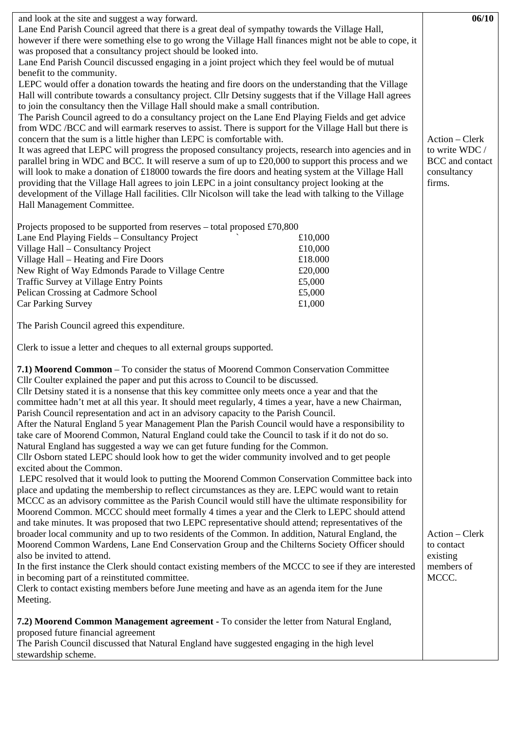| and look at the site and suggest a way forward.                                                           |                  | 06/10           |
|-----------------------------------------------------------------------------------------------------------|------------------|-----------------|
| Lane End Parish Council agreed that there is a great deal of sympathy towards the Village Hall,           |                  |                 |
| however if there were something else to go wrong the Village Hall finances might not be able to cope, it  |                  |                 |
| was proposed that a consultancy project should be looked into.                                            |                  |                 |
| Lane End Parish Council discussed engaging in a joint project which they feel would be of mutual          |                  |                 |
| benefit to the community.                                                                                 |                  |                 |
| LEPC would offer a donation towards the heating and fire doors on the understanding that the Village      |                  |                 |
| Hall will contribute towards a consultancy project. Cllr Detsiny suggests that if the Village Hall agrees |                  |                 |
| to join the consultancy then the Village Hall should make a small contribution.                           |                  |                 |
| The Parish Council agreed to do a consultancy project on the Lane End Playing Fields and get advice       |                  |                 |
| from WDC /BCC and will earmark reserves to assist. There is support for the Village Hall but there is     |                  |                 |
| concern that the sum is a little higher than LEPC is comfortable with.                                    | Action – Clerk   |                 |
| It was agreed that LEPC will progress the proposed consultancy projects, research into agencies and in    | to write WDC /   |                 |
| parallel bring in WDC and BCC. It will reserve a sum of up to £20,000 to support this process and we      |                  | BCC and contact |
| will look to make a donation of £18000 towards the fire doors and heating system at the Village Hall      |                  | consultancy     |
| providing that the Village Hall agrees to join LEPC in a joint consultancy project looking at the         |                  | firms.          |
| development of the Village Hall facilities. Cllr Nicolson will take the lead with talking to the Village  |                  |                 |
| Hall Management Committee.                                                                                |                  |                 |
|                                                                                                           |                  |                 |
| Projects proposed to be supported from reserves – total proposed £70,800                                  |                  |                 |
| Lane End Playing Fields - Consultancy Project                                                             | £10,000          |                 |
| Village Hall - Consultancy Project                                                                        | £10,000          |                 |
| Village Hall - Heating and Fire Doors                                                                     | £18.000          |                 |
| New Right of Way Edmonds Parade to Village Centre                                                         | £20,000          |                 |
| <b>Traffic Survey at Village Entry Points</b><br>Pelican Crossing at Cadmore School                       | £5,000<br>£5,000 |                 |
| Car Parking Survey                                                                                        | £1,000           |                 |
|                                                                                                           |                  |                 |
| The Parish Council agreed this expenditure.                                                               |                  |                 |
| Clerk to issue a letter and cheques to all external groups supported.                                     |                  |                 |
| 7.1) Moorend Common – To consider the status of Moorend Common Conservation Committee                     |                  |                 |
| Cllr Coulter explained the paper and put this across to Council to be discussed.                          |                  |                 |
| Cllr Detsiny stated it is a nonsense that this key committee only meets once a year and that the          |                  |                 |
| committee hadn't met at all this year. It should meet regularly, 4 times a year, have a new Chairman,     |                  |                 |
| Parish Council representation and act in an advisory capacity to the Parish Council.                      |                  |                 |
| After the Natural England 5 year Management Plan the Parish Council would have a responsibility to        |                  |                 |
| take care of Moorend Common, Natural England could take the Council to task if it do not do so.           |                  |                 |
| Natural England has suggested a way we can get future funding for the Common.                             |                  |                 |
| Cllr Osborn stated LEPC should look how to get the wider community involved and to get people             |                  |                 |
| excited about the Common.                                                                                 |                  |                 |
| LEPC resolved that it would look to putting the Moorend Common Conservation Committee back into           |                  |                 |
| place and updating the membership to reflect circumstances as they are. LEPC would want to retain         |                  |                 |
| MCCC as an advisory committee as the Parish Council would still have the ultimate responsibility for      |                  |                 |
| Moorend Common. MCCC should meet formally 4 times a year and the Clerk to LEPC should attend              |                  |                 |
| and take minutes. It was proposed that two LEPC representative should attend; representatives of the      |                  |                 |
| broader local community and up to two residents of the Common. In addition, Natural England, the          |                  | Action - Clerk  |
| Moorend Common Wardens, Lane End Conservation Group and the Chilterns Society Officer should              |                  | to contact      |
| also be invited to attend.                                                                                |                  | existing        |
| In the first instance the Clerk should contact existing members of the MCCC to see if they are interested |                  | members of      |
| in becoming part of a reinstituted committee.                                                             |                  | MCCC.           |
| Clerk to contact existing members before June meeting and have as an agenda item for the June             |                  |                 |
| Meeting.                                                                                                  |                  |                 |
| 7.2) Moorend Common Management agreement - To consider the letter from Natural England,                   |                  |                 |
| proposed future financial agreement                                                                       |                  |                 |
| The Parish Council discussed that Natural England have suggested engaging in the high level               |                  |                 |
| stewardship scheme.                                                                                       |                  |                 |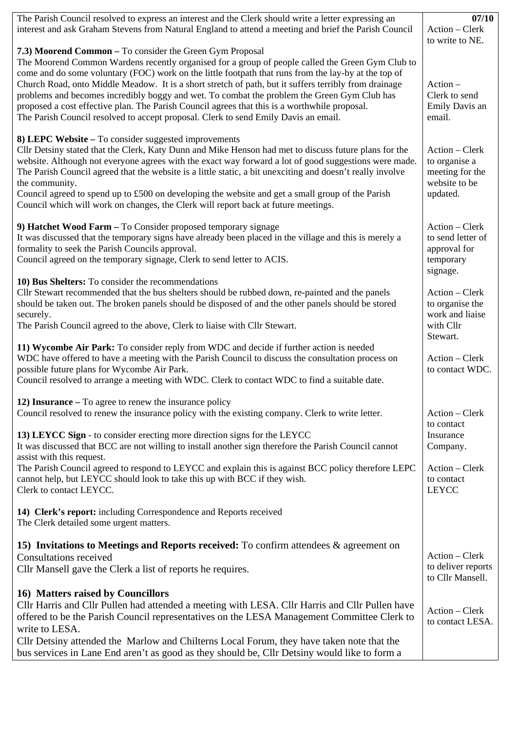| The Parish Council resolved to express an interest and the Clerk should write a letter expressing an                                                                                                                                                                                                                                                                                                                                                                                                                                                                                                     | 07/10                                                                         |
|----------------------------------------------------------------------------------------------------------------------------------------------------------------------------------------------------------------------------------------------------------------------------------------------------------------------------------------------------------------------------------------------------------------------------------------------------------------------------------------------------------------------------------------------------------------------------------------------------------|-------------------------------------------------------------------------------|
| interest and ask Graham Stevens from Natural England to attend a meeting and brief the Parish Council                                                                                                                                                                                                                                                                                                                                                                                                                                                                                                    | Action - Clerk<br>to write to NE.                                             |
| 7.3) Moorend Common - To consider the Green Gym Proposal                                                                                                                                                                                                                                                                                                                                                                                                                                                                                                                                                 |                                                                               |
| The Moorend Common Wardens recently organised for a group of people called the Green Gym Club to<br>come and do some voluntary (FOC) work on the little footpath that runs from the lay-by at the top of<br>Church Road, onto Middle Meadow. It is a short stretch of path, but it suffers terribly from drainage<br>problems and becomes incredibly boggy and wet. To combat the problem the Green Gym Club has<br>proposed a cost effective plan. The Parish Council agrees that this is a worthwhile proposal.<br>The Parish Council resolved to accept proposal. Clerk to send Emily Davis an email. | $Action -$<br>Clerk to send<br>Emily Davis an<br>email.                       |
| 8) LEPC Website – To consider suggested improvements<br>Cllr Detsiny stated that the Clerk, Katy Dunn and Mike Henson had met to discuss future plans for the<br>website. Although not everyone agrees with the exact way forward a lot of good suggestions were made.<br>The Parish Council agreed that the website is a little static, a bit unexciting and doesn't really involve<br>the community.                                                                                                                                                                                                   | Action - Clerk<br>to organise a<br>meeting for the<br>website to be           |
| Council agreed to spend up to £500 on developing the website and get a small group of the Parish<br>Council which will work on changes, the Clerk will report back at future meetings.                                                                                                                                                                                                                                                                                                                                                                                                                   | updated.                                                                      |
| 9) Hatchet Wood Farm - To Consider proposed temporary signage<br>It was discussed that the temporary signs have already been placed in the village and this is merely a<br>formality to seek the Parish Councils approval.<br>Council agreed on the temporary signage, Clerk to send letter to ACIS.                                                                                                                                                                                                                                                                                                     | Action – Clerk<br>to send letter of<br>approval for<br>temporary<br>signage.  |
| 10) Bus Shelters: To consider the recommendations<br>Cllr Stewart recommended that the bus shelters should be rubbed down, re-painted and the panels<br>should be taken out. The broken panels should be disposed of and the other panels should be stored<br>securely.<br>The Parish Council agreed to the above, Clerk to liaise with Cllr Stewart.                                                                                                                                                                                                                                                    | Action - Clerk<br>to organise the<br>work and liaise<br>with Cllr<br>Stewart. |
| 11) Wycombe Air Park: To consider reply from WDC and decide if further action is needed<br>WDC have offered to have a meeting with the Parish Council to discuss the consultation process on<br>possible future plans for Wycombe Air Park.<br>Council resolved to arrange a meeting with WDC. Clerk to contact WDC to find a suitable date.                                                                                                                                                                                                                                                             | Action – Clerk<br>to contact WDC.                                             |
| 12) Insurance $-$ To agree to renew the insurance policy                                                                                                                                                                                                                                                                                                                                                                                                                                                                                                                                                 |                                                                               |
| Council resolved to renew the insurance policy with the existing company. Clerk to write letter.                                                                                                                                                                                                                                                                                                                                                                                                                                                                                                         | Action - Clerk<br>to contact                                                  |
| 13) LEYCC Sign - to consider erecting more direction signs for the LEYCC<br>It was discussed that BCC are not willing to install another sign therefore the Parish Council cannot                                                                                                                                                                                                                                                                                                                                                                                                                        | Insurance<br>Company.                                                         |
| assist with this request.<br>The Parish Council agreed to respond to LEYCC and explain this is against BCC policy therefore LEPC<br>cannot help, but LEYCC should look to take this up with BCC if they wish.<br>Clerk to contact LEYCC.                                                                                                                                                                                                                                                                                                                                                                 | Action - Clerk<br>to contact<br><b>LEYCC</b>                                  |
| 14) Clerk's report: including Correspondence and Reports received<br>The Clerk detailed some urgent matters.                                                                                                                                                                                                                                                                                                                                                                                                                                                                                             |                                                                               |
| 15) Invitations to Meetings and Reports received: To confirm attendees & agreement on<br><b>Consultations received</b>                                                                                                                                                                                                                                                                                                                                                                                                                                                                                   | Action – Clerk                                                                |
| Cllr Mansell gave the Clerk a list of reports he requires.                                                                                                                                                                                                                                                                                                                                                                                                                                                                                                                                               | to deliver reports<br>to Cllr Mansell.                                        |
| 16) Matters raised by Councillors                                                                                                                                                                                                                                                                                                                                                                                                                                                                                                                                                                        |                                                                               |
| Cllr Harris and Cllr Pullen had attended a meeting with LESA. Cllr Harris and Cllr Pullen have<br>offered to be the Parish Council representatives on the LESA Management Committee Clerk to<br>write to LESA.                                                                                                                                                                                                                                                                                                                                                                                           | Action - Clerk<br>to contact LESA.                                            |
| Cllr Detsiny attended the Marlow and Chilterns Local Forum, they have taken note that the<br>bus services in Lane End aren't as good as they should be, Cllr Detsiny would like to form a                                                                                                                                                                                                                                                                                                                                                                                                                |                                                                               |